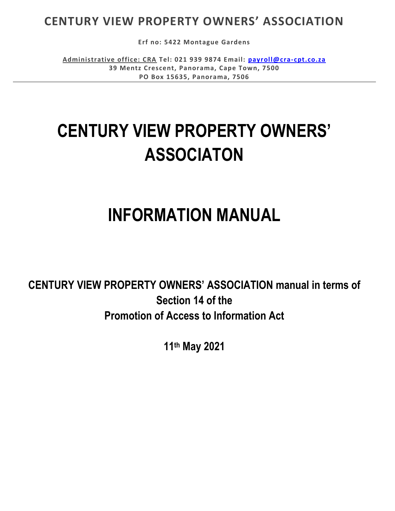## **CENTURY VIEW PROPERTY OWNERS' ASSOCIATION**

**Erf no: 5422 Montague Gardens**

**Administrative office: CRA Tel: 021 939 9874 Email: [payroll@cra-cpt.co.za](mailto:payroll@cra-cpt.co.za) 39 Mentz Crescent, Panorama, Cape Town, 7500 PO Box 15635, Panorama, 7506**

# **CENTURY VIEW PROPERTY OWNERS' ASSOCIATON**

# **INFORMATION MANUAL**

**CENTURY VIEW PROPERTY OWNERS' ASSOCIATION manual in terms of Section 14 of the Promotion of Access to Information Act**

**11th May 2021**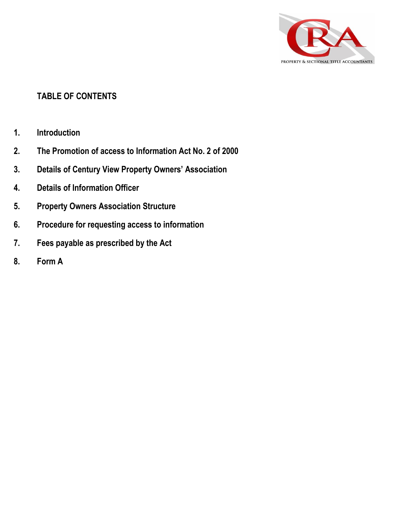

#### **TABLE OF CONTENTS**

- **1. Introduction**
- **2. The Promotion of access to Information Act No. 2 of 2000**
- **3. Details of Century View Property Owners' Association**
- **4. Details of Information Officer**
- **5. Property Owners Association Structure**
- **6. Procedure for requesting access to information**
- **7. Fees payable as prescribed by the Act**
- **8. Form A**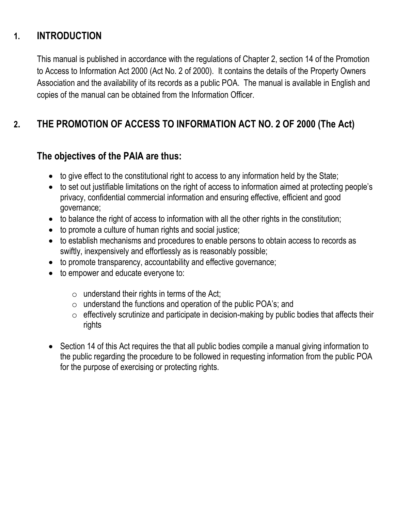### **1. INTRODUCTION**

This manual is published in accordance with the regulations of Chapter 2, section 14 of the Promotion to Access to Information Act 2000 (Act No. 2 of 2000). It contains the details of the Property Owners Association and the availability of its records as a public POA. The manual is available in English and copies of the manual can be obtained from the Information Officer.

## **2. THE PROMOTION OF ACCESS TO INFORMATION ACT NO. 2 OF 2000 (The Act)**

#### **The objectives of the PAIA are thus:**

- to give effect to the constitutional right to access to any information held by the State;
- to set out justifiable limitations on the right of access to information aimed at protecting people's privacy, confidential commercial information and ensuring effective, efficient and good governance;
- to balance the right of access to information with all the other rights in the constitution;
- to promote a culture of human rights and social justice;
- to establish mechanisms and procedures to enable persons to obtain access to records as swiftly, inexpensively and effortlessly as is reasonably possible;
- to promote transparency, accountability and effective governance;
- to empower and educate everyone to:
	- $\circ$  understand their rights in terms of the Act;
	- $\circ$  understand the functions and operation of the public POA's; and
	- $\circ$  effectively scrutinize and participate in decision-making by public bodies that affects their rights
- Section 14 of this Act requires the that all public bodies compile a manual giving information to the public regarding the procedure to be followed in requesting information from the public POA for the purpose of exercising or protecting rights.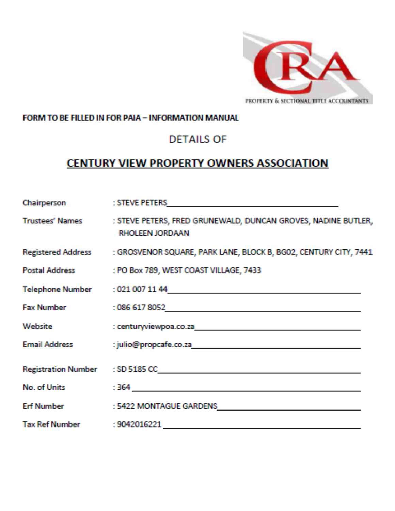

#### FORM TO BE FILLED IN FOR PAIA - INFORMATION MANUAL

### **DETAILS OF**

### **CENTURY VIEW PROPERTY OWNERS ASSOCIATION**

| Chairperson       |                                                                                                                                                                                                               |
|-------------------|---------------------------------------------------------------------------------------------------------------------------------------------------------------------------------------------------------------|
|                   | Trustees' Names : STEVE PETERS, FRED GRUNEWALD, DUNCAN GROVES, NADINE BUTLER,<br><b>RHOLEEN JORDAAN</b>                                                                                                       |
|                   | Registered Address : GROSVENOR SQUARE, PARK LANE, BLOCK B, BG02, CENTURY CITY, 7441                                                                                                                           |
|                   | Postal Address : PO Box 789, WEST COAST VILLAGE, 7433                                                                                                                                                         |
|                   |                                                                                                                                                                                                               |
|                   | Fax Number : 086 617 8052<br>2008 - 2014 - 2022<br>2014 - 2023 - 2024<br>2014 - 2023 - 2024<br>2022<br>2023 - 2024<br>2022<br>2023 - 2024<br>2022<br>2023 - 2024<br>2025 - 2024<br>2025 - 2024<br>2025 - 2024 |
| Website           |                                                                                                                                                                                                               |
|                   |                                                                                                                                                                                                               |
|                   |                                                                                                                                                                                                               |
|                   | No. of Units 364 2008 - 2009 - 2009 - 2010 - 2010 - 2010 - 2010 - 2010 - 2010 - 2010 - 2010 - 2010 - 2010 - 20                                                                                                |
| <b>Erf Number</b> | : 5422 MONTAGUE GARDENS                                                                                                                                                                                       |
|                   |                                                                                                                                                                                                               |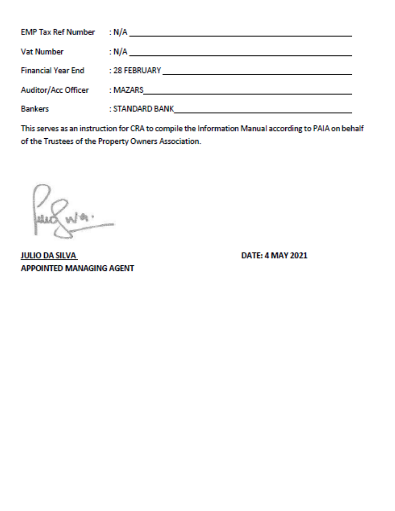| <b>EMP Tax Ref Number : N/A</b> |                                                             |
|---------------------------------|-------------------------------------------------------------|
| <b>Vat Number</b>               | : N/A<br><u> 1989 - John Stein, Amerikaansk politiker (</u> |
| <b>Financial Year End</b>       |                                                             |
| Auditor/Acc Officer             | : MAZARS                                                    |
| <b>Bankers</b>                  | : STANDARD BANK                                             |

This serves as an instruction for CRA to compile the Information Manual according to PAIA on behalf of the Trustees of the Property Owners Association.

President

**JULIO DA SILVA APPOINTED MANAGING AGENT** 

**DATE: 4 MAY 2021**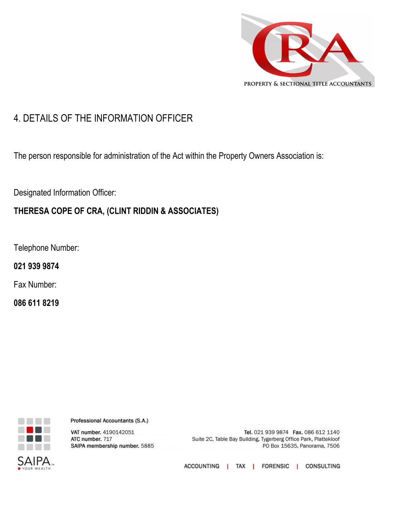

### 4. DETAILS OF THE INFORMATION OFFICER

The person responsible for administration of the Act within the Property Owners Association is:

Designated Information Officer:

#### **THERESA COPE OF CRA, (CLINT RIDDIN & ASSOCIATES)**

Telephone Number:

**021 939 9874**

Fax Number:

**086 611 8219**



Professional Accountants (S.A.)

VAT number. 4190142051 ATC number. 717 SAIPA membership number. 5885

Tel. 021 939 9874 Fax. 086 612 1140 Suite 2C, Table Bay Building, Tygerberg Office Park, Plattekloof PO Box 15635, Panorama, 7506

ACCOUNTING | TAX | FORENSIC | CONSULTING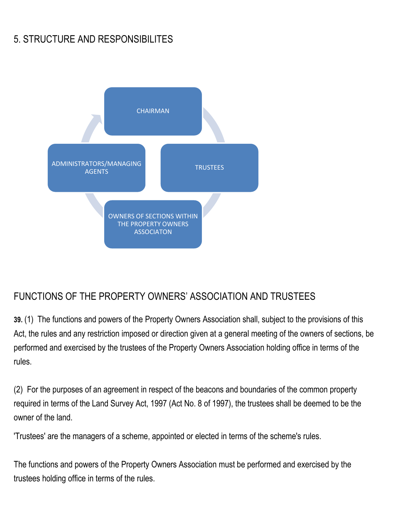## 5. STRUCTURE AND RESPONSIBILITES



### FUNCTIONS OF THE PROPERTY OWNERS' ASSOCIATION AND TRUSTEES

**39.** (1) The functions and powers of the Property Owners Association shall, subject to the provisions of this Act, the rules and any restriction imposed or direction given at a general meeting of the owners of sections, be performed and exercised by the trustees of the Property Owners Association holding office in terms of the rules.

(2) For the purposes of an agreement in respect of the beacons and boundaries of the common property required in terms of the Land Survey Act, 1997 (Act No. 8 of 1997), the trustees shall be deemed to be the owner of the land.

'Trustees' are the managers of a scheme, appointed or elected in terms of the scheme's rules.

The functions and powers of the Property Owners Association must be performed and exercised by the trustees holding office in terms of the rules.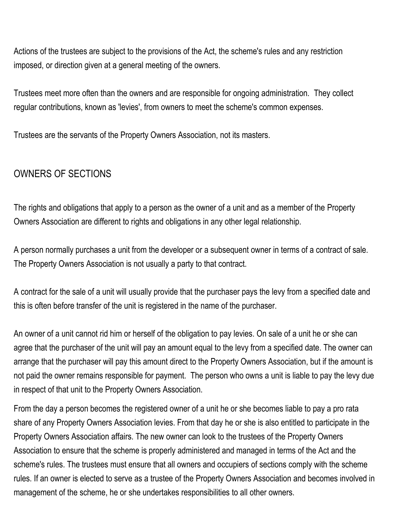Actions of the trustees are subject to the provisions of the Act, the scheme's rules and any restriction imposed, or direction given at a general meeting of the owners.

Trustees meet more often than the owners and are responsible for ongoing administration. They collect regular contributions, known as 'levies', from owners to meet the scheme's common expenses.

Trustees are the servants of the Property Owners Association, not its masters.

### OWNERS OF SECTIONS

The rights and obligations that apply to a person as the owner of a unit and as a member of the Property Owners Association are different to rights and obligations in any other legal relationship.

A person normally purchases a unit from the developer or a subsequent owner in terms of a contract of sale. The Property Owners Association is not usually a party to that contract.

A contract for the sale of a unit will usually provide that the purchaser pays the levy from a specified date and this is often before transfer of the unit is registered in the name of the purchaser.

An owner of a unit cannot rid him or herself of the obligation to pay levies. On sale of a unit he or she can agree that the purchaser of the unit will pay an amount equal to the levy from a specified date. The owner can arrange that the purchaser will pay this amount direct to the Property Owners Association, but if the amount is not paid the owner remains responsible for payment. The person who owns a unit is liable to pay the levy due in respect of that unit to the Property Owners Association.

From the day a person becomes the registered owner of a unit he or she becomes liable to pay a pro rata share of any Property Owners Association levies. From that day he or she is also entitled to participate in the Property Owners Association affairs. The new owner can look to the trustees of the Property Owners Association to ensure that the scheme is properly administered and managed in terms of the Act and the scheme's rules. The trustees must ensure that all owners and occupiers of sections comply with the scheme rules. If an owner is elected to serve as a trustee of the Property Owners Association and becomes involved in management of the scheme, he or she undertakes responsibilities to all other owners.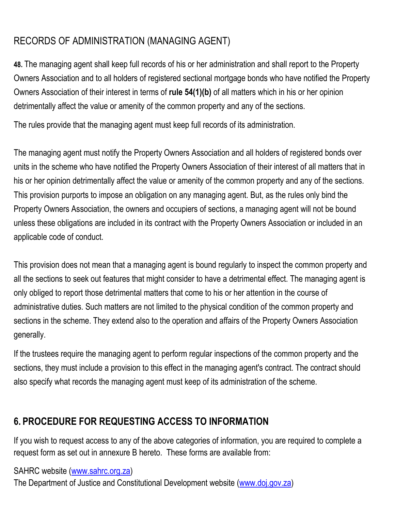## [RECORDS](http://www.paddocksclub.co.za/sectional-titles-prescribed-rules/records-of-administration) OF ADMINISTRATION (MANAGING AGENT)

**48.** The managing agent shall keep full records of his or her administration and shall report to the Property Owners Association and to all holders of registered sectional mortgage bonds who have notified the Property Owners Association of their interest in terms of **[rule 54\(1\)\(b\)](http://www.paddocksclub.co.za/sectional-titles-prescribed-rules/notice)** of all matters which in his or her opinion detrimentally affect the value or amenity of the common property and any of the sections.

The rules provide that the managing agent must keep full records of its administration.

The managing agent must notify the Property Owners Association and all holders of registered bonds over units in the scheme who have notified the Property Owners Association of their interest of all matters that in his or her opinion detrimentally affect the value or amenity of the common property and any of the sections. This provision purports to impose an obligation on any managing agent. But, as the rules only bind the Property Owners Association, the owners and occupiers of sections, a managing agent will not be bound unless these obligations are included in its contract with the Property Owners Association or included in an applicable code of conduct.

This provision does not mean that a managing agent is bound regularly to inspect the common property and all the sections to seek out features that might consider to have a detrimental effect. The managing agent is only obliged to report those detrimental matters that come to his or her attention in the course of administrative duties. Such matters are not limited to the physical condition of the common property and sections in the scheme. They extend also to the operation and affairs of the Property Owners Association generally.

If the trustees require the managing agent to perform regular inspections of the common property and the sections, they must include a provision to this effect in the managing agent's contract. The contract should also specify what records the managing agent must keep of its administration of the scheme.

## **6. PROCEDURE FOR REQUESTING ACCESS TO INFORMATION**

If you wish to request access to any of the above categories of information, you are required to complete a request form as set out in annexure B hereto. These forms are available from:

SAHRC website [\(www.sahrc.org.za\)](http://www.sahrc.org.za/) The Department of Justice and Constitutional Development website [\(www.doj.gov.za\)](http://www.doj.gov.za/)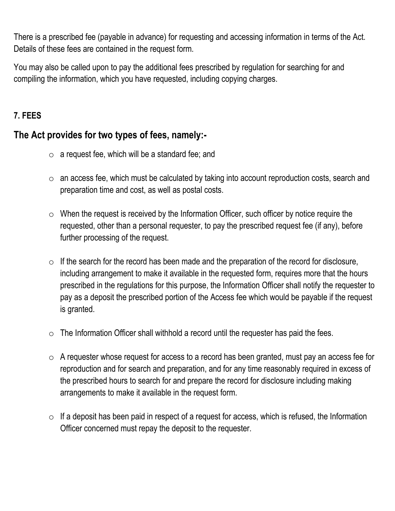There is a prescribed fee (payable in advance) for requesting and accessing information in terms of the Act. Details of these fees are contained in the request form.

You may also be called upon to pay the additional fees prescribed by regulation for searching for and compiling the information, which you have requested, including copying charges.

#### **7. FEES**

#### **The Act provides for two types of fees, namely:-**

- $\circ$  a request fee, which will be a standard fee; and
- o an access fee, which must be calculated by taking into account reproduction costs, search and preparation time and cost, as well as postal costs.
- $\circ$  When the request is received by the Information Officer, such officer by notice require the requested, other than a personal requester, to pay the prescribed request fee (if any), before further processing of the request.
- $\circ$  If the search for the record has been made and the preparation of the record for disclosure, including arrangement to make it available in the requested form, requires more that the hours prescribed in the regulations for this purpose, the Information Officer shall notify the requester to pay as a deposit the prescribed portion of the Access fee which would be payable if the request is granted.
- $\circ$  The Information Officer shall withhold a record until the requester has paid the fees.
- $\circ$  A requester whose request for access to a record has been granted, must pay an access fee for reproduction and for search and preparation, and for any time reasonably required in excess of the prescribed hours to search for and prepare the record for disclosure including making arrangements to make it available in the request form.
- $\circ$  If a deposit has been paid in respect of a request for access, which is refused, the Information Officer concerned must repay the deposit to the requester.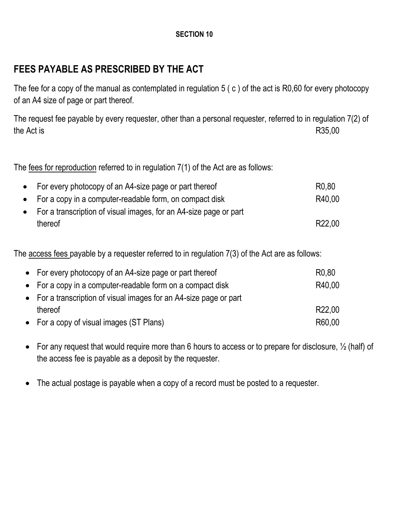#### **SECTION 10**

### **FEES PAYABLE AS PRESCRIBED BY THE ACT**

The fee for a copy of the manual as contemplated in regulation 5 ( c ) of the act is R0,60 for every photocopy of an A4 size of page or part thereof.

The request fee payable by every requester, other than a personal requester, referred to in regulation 7(2) of the Act is R35,00

The fees for reproduction referred to in regulation 7(1) of the Act are as follows:

| • For every photocopy of an A4-size page or part thereof            | R <sub>0.80</sub>  |
|---------------------------------------------------------------------|--------------------|
| • For a copy in a computer-readable form, on compact disk           | R40.00             |
| • For a transcription of visual images, for an A4-size page or part |                    |
| thereof                                                             | R <sub>22.00</sub> |

The access fees payable by a requester referred to in regulation 7(3) of the Act are as follows:

| • For every photocopy of an A4-size page or part thereof           | R <sub>0.80</sub>  |
|--------------------------------------------------------------------|--------------------|
| • For a copy in a computer-readable form on a compact disk         | R40,00             |
| • For a transcription of visual images for an A4-size page or part |                    |
| thereof                                                            | R <sub>22.00</sub> |
| • For a copy of visual images (ST Plans)                           | R60,00             |

- For any request that would require more than 6 hours to access or to prepare for disclosure,  $\frac{1}{2}$  (half) of the access fee is payable as a deposit by the requester.
- The actual postage is payable when a copy of a record must be posted to a requester.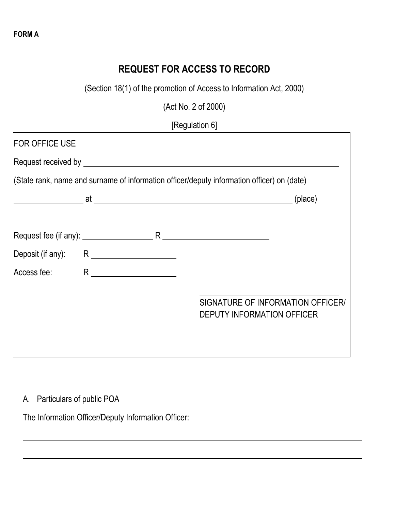## **REQUEST FOR ACCESS TO RECORD**

(Section 18(1) of the promotion of Access to Information Act, 2000)

(Act No. 2 of 2000)

[Regulation 6]

| <b>FOR OFFICE USE</b> |  |                                                                                            |
|-----------------------|--|--------------------------------------------------------------------------------------------|
|                       |  |                                                                                            |
|                       |  | (State rank, name and surname of information officer/deputy information officer) on (date) |
|                       |  | (place)                                                                                    |
|                       |  |                                                                                            |
|                       |  |                                                                                            |
| Deposit (if any):     |  |                                                                                            |
| Access fee:           |  |                                                                                            |
|                       |  |                                                                                            |
|                       |  | SIGNATURE OF INFORMATION OFFICER/<br><b>DEPUTY INFORMATION OFFICER</b>                     |
|                       |  |                                                                                            |
|                       |  |                                                                                            |

#### A. Particulars of public POA

The Information Officer/Deputy Information Officer:

**FORM A**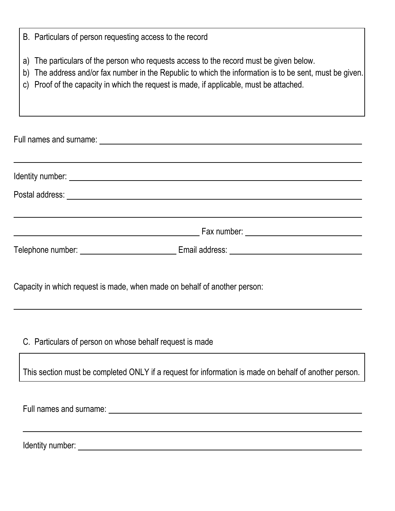- a) The particulars of the person who requests access to the record must be given below.
- b) The address and/or fax number in the Republic to which the information is to be sent, must be given.
- c) Proof of the capacity in which the request is made, if applicable, must be attached.

|                   | Identity number: <u>contract the contract of the contract of the contract of the contract of the contract of the contract of the contract of the contract of the contract of the contract of the contract of the contract of the</u> |  |
|-------------------|--------------------------------------------------------------------------------------------------------------------------------------------------------------------------------------------------------------------------------------|--|
|                   |                                                                                                                                                                                                                                      |  |
|                   |                                                                                                                                                                                                                                      |  |
| Telephone number: |                                                                                                                                                                                                                                      |  |

Capacity in which request is made, when made on behalf of another person:

C. Particulars of person on whose behalf request is made

This section must be completed ONLY if a request for information is made on behalf of another person.

Full names and surname:

Identity number: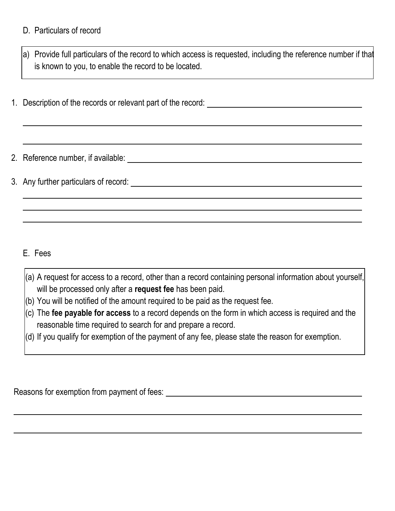#### D. Particulars of record

a) Provide full particulars of the record to which access is requested, including the reference number if that is known to you, to enable the record to be located.

1. Description of the records or relevant part of the record:

2. Reference number, if available:

3. Any further particulars of record:

E. Fees

- (a) A request for access to a record, other than a record containing personal information about yourself, will be processed only after a **request fee** has been paid.
- (b) You will be notified of the amount required to be paid as the request fee.
- (c) The **fee payable for access** to a record depends on the form in which access is required and the reasonable time required to search for and prepare a record.
- (d) If you qualify for exemption of the payment of any fee, please state the reason for exemption.

Reasons for exemption from payment of fees: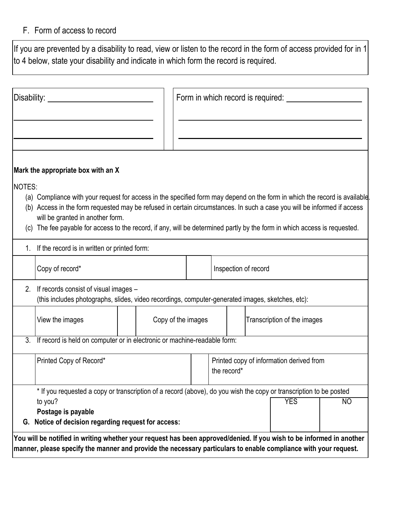#### F. Form of access to record

 $\vert$ If you are prevented by a disability to read, view or listen to the record in the form of access provided for in 1 $\vert$ to 4 below, state your disability and indicate in which form the record is required.

|               |                                                                                                                                                                                                         |  | Form in which record is required: |  |                                                         |  |                                                                                                                                                                                                                                                                                                                                                                                    |  |
|---------------|---------------------------------------------------------------------------------------------------------------------------------------------------------------------------------------------------------|--|-----------------------------------|--|---------------------------------------------------------|--|------------------------------------------------------------------------------------------------------------------------------------------------------------------------------------------------------------------------------------------------------------------------------------------------------------------------------------------------------------------------------------|--|
|               |                                                                                                                                                                                                         |  |                                   |  |                                                         |  |                                                                                                                                                                                                                                                                                                                                                                                    |  |
|               | Mark the appropriate box with an X                                                                                                                                                                      |  |                                   |  |                                                         |  |                                                                                                                                                                                                                                                                                                                                                                                    |  |
| <b>NOTES:</b> | will be granted in another form.                                                                                                                                                                        |  |                                   |  |                                                         |  | (a) Compliance with your request for access in the specified form may depend on the form in which the record is available.<br>(b) Access in the form requested may be refused in certain circumstances. In such a case you will be informed if access<br>(c) The fee payable for access to the record, if any, will be determined partly by the form in which access is requested. |  |
|               | 1. If the record is in written or printed form:                                                                                                                                                         |  |                                   |  |                                                         |  |                                                                                                                                                                                                                                                                                                                                                                                    |  |
|               | Copy of record*                                                                                                                                                                                         |  |                                   |  | Inspection of record                                    |  |                                                                                                                                                                                                                                                                                                                                                                                    |  |
|               | 2. If records consist of visual images –<br>(this includes photographs, slides, video recordings, computer-generated images, sketches, etc):                                                            |  |                                   |  |                                                         |  |                                                                                                                                                                                                                                                                                                                                                                                    |  |
|               | View the images                                                                                                                                                                                         |  | Copy of the images                |  |                                                         |  | Transcription of the images                                                                                                                                                                                                                                                                                                                                                        |  |
|               | 3. If record is held on computer or in electronic or machine-readable form:                                                                                                                             |  |                                   |  |                                                         |  |                                                                                                                                                                                                                                                                                                                                                                                    |  |
|               | Printed Copy of Record*                                                                                                                                                                                 |  |                                   |  | Printed copy of information derived from<br>the record* |  |                                                                                                                                                                                                                                                                                                                                                                                    |  |
| G.            | * If you requested a copy or transcription of a record (above), do you wish the copy or transcription to be posted<br>to you?<br>Postage is payable<br>Notice of decision regarding request for access: |  |                                   |  |                                                         |  | <b>YES</b><br>NO                                                                                                                                                                                                                                                                                                                                                                   |  |